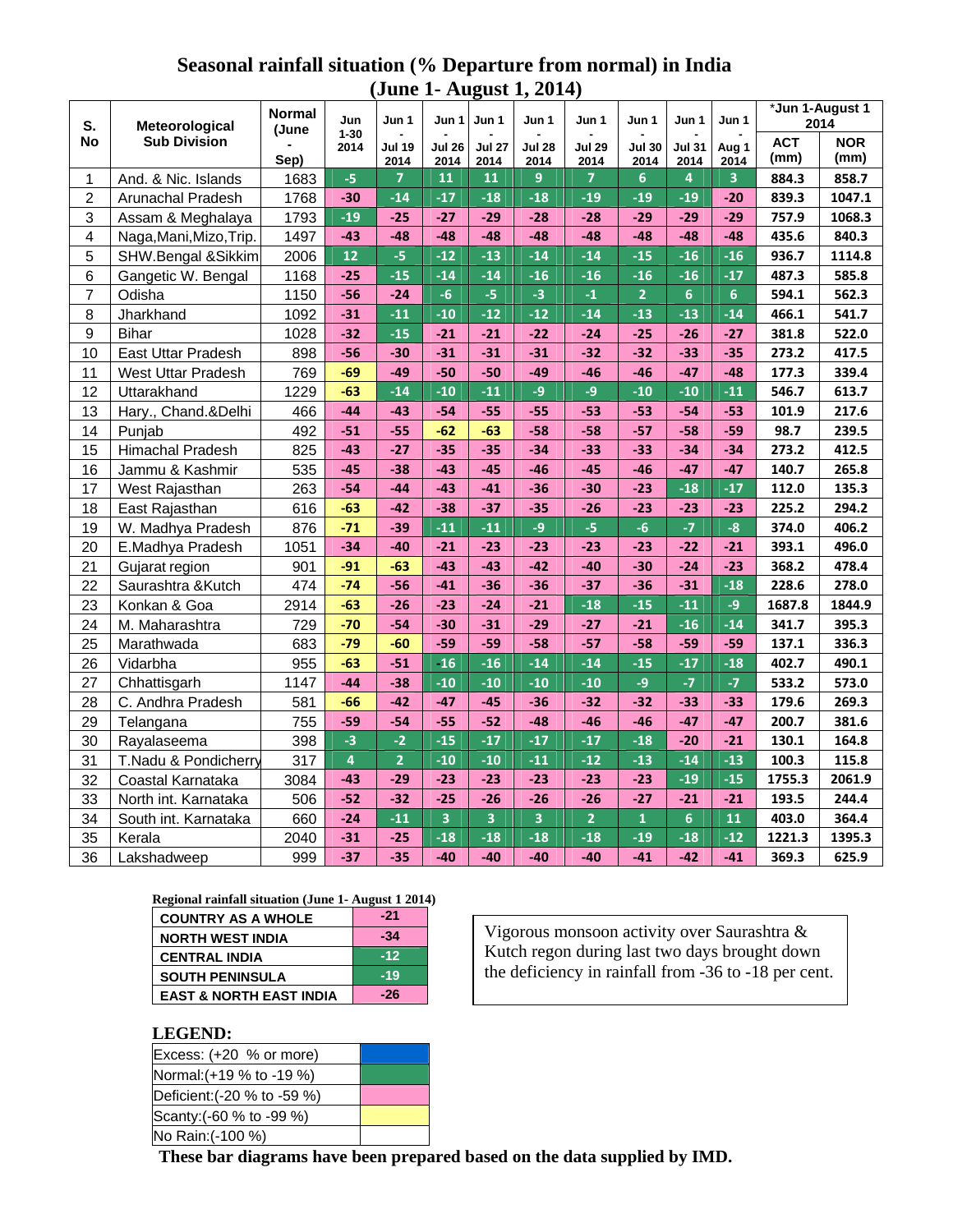## **Seasonal rainfall situation (% Departure from normal) in India (June 1- August 1, 2014)**

| S.<br>No         | Meteorological<br><b>Sub Division</b> | <b>Normal</b> | Jun<br>$1 - 30$<br>2014 | Jun 1          | Jun 1         | Jun 1         | Jun 1         | Jun 1          | Jun 1          | Jun 1          | Jun 1           | *Jun 1-August 1<br>2014 |            |
|------------------|---------------------------------------|---------------|-------------------------|----------------|---------------|---------------|---------------|----------------|----------------|----------------|-----------------|-------------------------|------------|
|                  |                                       | (June         |                         | <b>Jul 19</b>  | <b>Jul 26</b> | <b>Jul 27</b> | <b>Jul 28</b> | <b>Jul 29</b>  | <b>Jul 30</b>  | <b>Jul 31</b>  | Aug 1           | <b>ACT</b>              | <b>NOR</b> |
|                  |                                       | Sep)          |                         | 2014           | 2014          | 2014          | 2014          | 2014           | 2014           | 2014           | 2014            | (mm)                    | (mm)       |
| 1                | And. & Nic. Islands                   | 1683          | $-5$                    | $\overline{7}$ | 11            | 11            | 9             | $\overline{7}$ | $6\phantom{1}$ | 4              | 3               | 884.3                   | 858.7      |
| $\overline{2}$   | Arunachal Pradesh                     | 1768          | $-30$                   | $-14$          | $-17$         | $-18$         | $-18$         | $-19$          | $-19$          | $-19$          | $-20$           | 839.3                   | 1047.1     |
| 3                | Assam & Meghalaya                     | 1793          | $-19$                   | $-25$          | $-27$         | $-29$         | $-28$         | $-28$          | $-29$          | $-29$          | $-29$           | 757.9                   | 1068.3     |
| 4                | Naga, Mani, Mizo, Trip.               | 1497          | $-43$                   | $-48$          | $-48$         | $-48$         | $-48$         | $-48$          | $-48$          | $-48$          | $-48$           | 435.6                   | 840.3      |
| 5                | SHW.Bengal &Sikkim                    | 2006          | $12$                    | $-5$           | $-12$         | $-13$         | $-14$         | $-14$          | $-15$          | $-16$          | $-16$           | 936.7                   | 1114.8     |
| 6                | Gangetic W. Bengal                    | 1168          | $-25$                   | $-15$          | $-14$         | $-14$         | $-16$         | $-16$          | $-16$          | $-16$          | $-17$           | 487.3                   | 585.8      |
| $\overline{7}$   | Odisha                                | 1150          | $-56$                   | $-24$          | $-6$          | $-5$          | $-3$          | $-1$           | $\overline{2}$ | 6              | $6\overline{6}$ | 594.1                   | 562.3      |
| 8                | Jharkhand                             | 1092          | $-31$                   | $-11$          | $-10$         | $-12$         | $-12$         | $-14$          | $-13$          | $-13$          | $-14$           | 466.1                   | 541.7      |
| $\boldsymbol{9}$ | <b>Bihar</b>                          | 1028          | $-32$                   | $-15$          | $-21$         | $-21$         | $-22$         | $-24$          | $-25$          | $-26$          | $-27$           | 381.8                   | 522.0      |
| 10               | East Uttar Pradesh                    | 898           | $-56$                   | $-30$          | $-31$         | $-31$         | $-31$         | $-32$          | $-32$          | $-33$          | $-35$           | 273.2                   | 417.5      |
| 11               | <b>West Uttar Pradesh</b>             | 769           | $-69$                   | $-49$          | $-50$         | $-50$         | $-49$         | $-46$          | $-46$          | $-47$          | $-48$           | 177.3                   | 339.4      |
| 12               | Uttarakhand                           | 1229          | $-63$                   | $-14$          | $-10$         | $-11$         | $-9$          | $-9$           | $-10$          | $-10$          | $-11$           | 546.7                   | 613.7      |
| 13               | Hary., Chand.&Delhi                   | 466           | $-44$                   | $-43$          | $-54$         | $-55$         | $-55$         | $-53$          | $-53$          | $-54$          | $-53$           | 101.9                   | 217.6      |
| 14               | Punjab                                | 492           | $-51$                   | $-55$          | $-62$         | $-63$         | $-58$         | $-58$          | $-57$          | $-58$          | $-59$           | 98.7                    | 239.5      |
| 15               | Himachal Pradesh                      | 825           | $-43$                   | $-27$          | $-35$         | $-35$         | $-34$         | $-33$          | $-33$          | $-34$          | $-34$           | 273.2                   | 412.5      |
| 16               | Jammu & Kashmir                       | 535           | $-45$                   | -38            | $-43$         | $-45$         | $-46$         | $-45$          | $-46$          | $-47$          | $-47$           | 140.7                   | 265.8      |
| 17               | West Rajasthan                        | 263           | $-54$                   | $-44$          | $-43$         | $-41$         | $-36$         | $-30$          | $-23$          | $-18$          | $-17$           | 112.0                   | 135.3      |
| 18               | East Rajasthan                        | 616           | $-63$                   | $-42$          | $-38$         | $-37$         | $-35$         | $-26$          | $-23$          | $-23$          | $-23$           | 225.2                   | 294.2      |
| 19               | W. Madhya Pradesh                     | 876           | $-71$                   | $-39$          | $-11$         | $-11$         | $-9$          | $-5$           | $-6$           | $-7$           | $-8$            | 374.0                   | 406.2      |
| 20               | E.Madhya Pradesh                      | 1051          | $-34$                   | $-40$          | $-21$         | $-23$         | $-23$         | $-23$          | $-23$          | $-22$          | $-21$           | 393.1                   | 496.0      |
| 21               | Gujarat region                        | 901           | $-91$                   | $-63$          | $-43$         | $-43$         | $-42$         | $-40$          | $-30$          | $-24$          | $-23$           | 368.2                   | 478.4      |
| 22               | Saurashtra &Kutch                     | 474           | $-74$                   | $-56$          | $-41$         | $-36$         | $-36$         | $-37$          | $-36$          | $-31$          | $-18$           | 228.6                   | 278.0      |
| 23               | Konkan & Goa                          | 2914          | $-63$                   | $-26$          | $-23$         | $-24$         | $-21$         | $-18$          | $-15$          | $-11$          | $-9$            | 1687.8                  | 1844.9     |
| 24               | M. Maharashtra                        | 729           | $-70$                   | $-54$          | $-30$         | $-31$         | $-29$         | $-27$          | $-21$          | $-16$          | $-14$           | 341.7                   | 395.3      |
| 25               | Marathwada                            | 683           | $-79$                   | $-60$          | $-59$         | $-59$         | $-58$         | $-57$          | $-58$          | $-59$          | $-59$           | 137.1                   | 336.3      |
| 26               | Vidarbha                              | 955           | $-63$                   | $-51$          | $-16$         | $-16$         | $-14$         | $-14$          | $-15$          | $-17$          | $-18$           | 402.7                   | 490.1      |
| 27               | Chhattisgarh                          | 1147          | $-44$                   | $-38$          | $-10$         | $-10$         | $-10$         | $-10$          | $-9$           | $-7$           | $-7$            | 533.2                   | 573.0      |
| 28               | C. Andhra Pradesh                     | 581           | $-66$                   | $-42$          | $-47$         | $-45$         | $-36$         | $-32$          | $-32$          | $-33$          | $-33$           | 179.6                   | 269.3      |
| 29               | Telangana                             | 755           | $-59$                   | $-54$          | $-55$         | $-52$         | $-48$         | $-46$          | $-46$          | $-47$          | $-47$           | 200.7                   | 381.6      |
| 30               | Rayalaseema                           | 398           | $-3$                    | $-2$           | $-15$         | $-17$         | $-17$         | $-17$          | $-18$          | $-20$          | $-21$           | 130.1                   | 164.8      |
| 31               | T.Nadu & Pondicherry                  | 317           | $\overline{4}$          | $\overline{2}$ | $-10$         | $-10$         | $-11$         | $-12$          | $-13$          | $-14$          | $-13$           | 100.3                   | 115.8      |
| 32               | Coastal Karnataka                     | 3084          | $-43$                   | $-29$          | $-23$         | $-23$         | $-23$         | $-23$          | $-23$          | $-19$          | $-15$           | 1755.3                  | 2061.9     |
| 33               | North int. Karnataka                  | 506           | $-52$                   | $-32$          | $-25$         | $-26$         | $-26$         | $-26$          | $-27$          | $-21$          | $-21$           | 193.5                   | 244.4      |
| 34               | South int. Karnataka                  | 660           | $-24$                   | $-11$          | 3             | 3             | 3             | $\overline{2}$ | $\mathbf{1}$   | $6\phantom{a}$ | 11              | 403.0                   | 364.4      |
| 35               | Kerala                                | 2040          | $-31$                   | $-25$          | $-18$         | $-18$         | $-18$         | $-18$          | $-19$          | $-18$          | $-12$           | 1221.3                  | 1395.3     |
| 36               | Lakshadweep                           | 999           | $-37$                   | $-35$          | $-40$         | $-40$         | $-40$         | $-40$          | $-41$          | $-42$          | $-41$           | 369.3                   | 625.9      |

## **Regional rainfall situation (June 1- August 1 2014)**

| <b>COUNTRY AS A WHOLE</b>          | -21   |
|------------------------------------|-------|
| <b>NORTH WEST INDIA</b>            | $-34$ |
| <b>CENTRAL INDIA</b>               | $-12$ |
| <b>SOUTH PENINSULA</b>             | $-19$ |
| <b>EAST &amp; NORTH EAST INDIA</b> | $-26$ |

Vigorous monsoon activity over Saurashtra & Kutch regon during last two days brought down the deficiency in rainfall from -36 to -18 per cent.

## **LEGEND:**

| -------                     |  |
|-----------------------------|--|
| Excess: $(+20 % or more)$   |  |
| Normal: (+19 % to -19 %)    |  |
| Deficient: (-20 % to -59 %) |  |
| Scanty: (-60 % to -99 %)    |  |
| No Rain: (-100 %)           |  |

**These bar diagrams have been prepared based on the data supplied by IMD.**